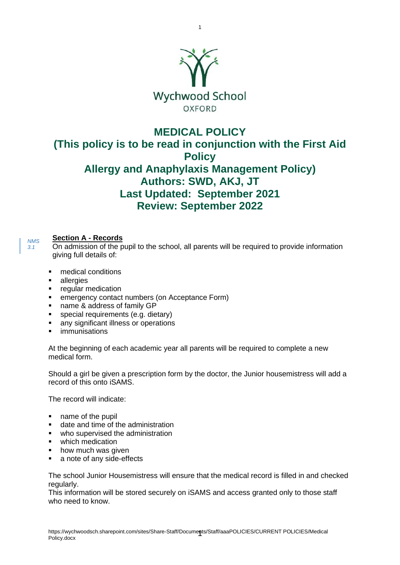

1

# **MEDICAL POLICY (This policy is to be read in conjunction with the First Aid Policy Allergy and Anaphylaxis Management Policy) Authors: SWD, AKJ, JT Last Updated: September 2021 Review: September 2022**

### **Section A - Records**

On admission of the pupil to the school, all parents will be required to provide information giving full details of:

- medical conditions
- allergies

*NMS 3.1*

- **■** regular medication
- **EXECUTE:** emergency contact numbers (on Acceptance Form)
- name & address of family GP
- special requirements (e.g. dietary)
- any significant illness or operations
- immunisations

At the beginning of each academic year all parents will be required to complete a new medical form.

Should a girl be given a prescription form by the doctor, the Junior housemistress will add a record of this onto iSAMS.

The record will indicate:

- name of the pupil
- date and time of the administration
- who supervised the administration
- which medication
- how much was given
- a note of any side-effects

The school Junior Housemistress will ensure that the medical record is filled in and checked regularly.

This information will be stored securely on iSAMS and access granted only to those staff who need to know.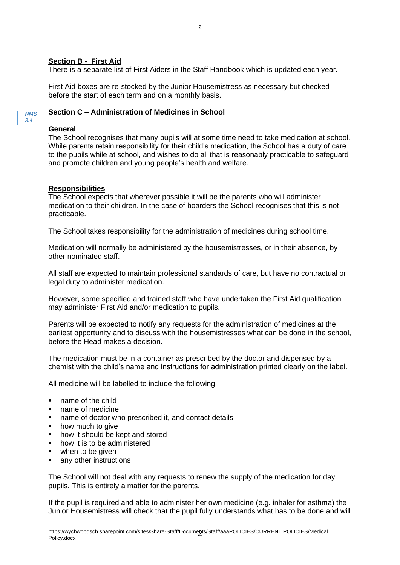#### **Section B - First Aid**

There is a separate list of First Aiders in the Staff Handbook which is updated each year.

First Aid boxes are re-stocked by the Junior Housemistress as necessary but checked before the start of each term and on a monthly basis.

#### **Section C – Administration of Medicines in School** *NMS*

#### **General**

*3.4*

The School recognises that many pupils will at some time need to take medication at school. While parents retain responsibility for their child's medication, the School has a duty of care to the pupils while at school, and wishes to do all that is reasonably practicable to safeguard and promote children and young people's health and welfare.

#### **Responsibilities**

The School expects that wherever possible it will be the parents who will administer medication to their children. In the case of boarders the School recognises that this is not practicable.

The School takes responsibility for the administration of medicines during school time.

Medication will normally be administered by the housemistresses, or in their absence, by other nominated staff.

All staff are expected to maintain professional standards of care, but have no contractual or legal duty to administer medication.

However, some specified and trained staff who have undertaken the First Aid qualification may administer First Aid and/or medication to pupils.

Parents will be expected to notify any requests for the administration of medicines at the earliest opportunity and to discuss with the housemistresses what can be done in the school, before the Head makes a decision.

The medication must be in a container as prescribed by the doctor and dispensed by a chemist with the child's name and instructions for administration printed clearly on the label.

All medicine will be labelled to include the following:

- name of the child
- name of medicine
- name of doctor who prescribed it, and contact details
- how much to give
- how it should be kept and stored
- how it is to be administered
- when to be given
- any other instructions

The School will not deal with any requests to renew the supply of the medication for day pupils. This is entirely a matter for the parents.

If the pupil is required and able to administer her own medicine (e.g. inhaler for asthma) the Junior Housemistress will check that the pupil fully understands what has to be done and will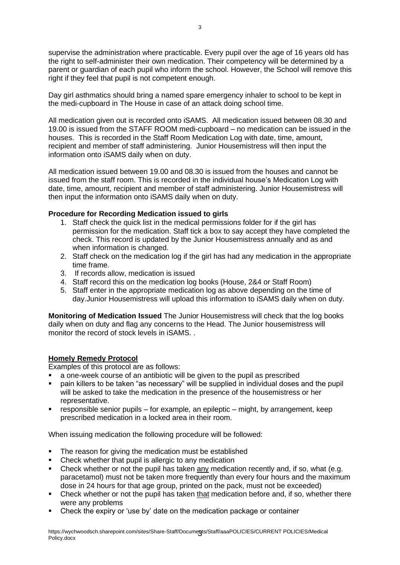supervise the administration where practicable. Every pupil over the age of 16 years old has the right to self-administer their own medication. Their competency will be determined by a parent or guardian of each pupil who inform the school. However, the School will remove this right if they feel that pupil is not competent enough.

Day girl asthmatics should bring a named spare emergency inhaler to school to be kept in the medi-cupboard in The House in case of an attack doing school time.

All medication given out is recorded onto iSAMS. All medication issued between 08.30 and 19.00 is issued from the STAFF ROOM medi-cupboard – no medication can be issued in the houses. This is recorded in the Staff Room Medication Log with date, time, amount, recipient and member of staff administering. Junior Housemistress will then input the information onto iSAMS daily when on duty.

All medication issued between 19.00 and 08.30 is issued from the houses and cannot be issued from the staff room. This is recorded in the individual house's Medication Log with date, time, amount, recipient and member of staff administering. Junior Housemistress will then input the information onto iSAMS daily when on duty.

#### **Procedure for Recording Medication issued to girls**

- 1. Staff check the quick list in the medical permissions folder for if the girl has permission for the medication. Staff tick a box to say accept they have completed the check. This record is updated by the Junior Housemistress annually and as and when information is changed.
- 2. Staff check on the medication log if the girl has had any medication in the appropriate time frame.
- 3. If records allow, medication is issued
- 4. Staff record this on the medication log books (House, 2&4 or Staff Room)
- 5. Staff enter in the appropriate medication log as above depending on the time of day.Junior Housemistress will upload this information to iSAMS daily when on duty.

**Monitoring of Medication Issued** The Junior Housemistress will check that the log books daily when on duty and flag any concerns to the Head. The Junior housemistress will monitor the record of stock levels in iSAMS. .

#### **Homely Remedy Protocol**

Examples of this protocol are as follows:

- a one-week course of an antibiotic will be given to the pupil as prescribed
- pain killers to be taken "as necessary" will be supplied in individual doses and the pupil will be asked to take the medication in the presence of the housemistress or her representative.
- **•** responsible senior pupils for example, an epileptic might, by arrangement, keep prescribed medication in a locked area in their room.

When issuing medication the following procedure will be followed:

- The reason for giving the medication must be established
- Check whether that pupil is allergic to any medication
- Check whether or not the pupil has taken any medication recently and, if so, what (e.g. paracetamol) must not be taken more frequently than every four hours and the maximum dose in 24 hours for that age group, printed on the pack, must not be exceeded)
- Check whether or not the pupil has taken that medication before and, if so, whether there were any problems
- Check the expiry or 'use by' date on the medication package or container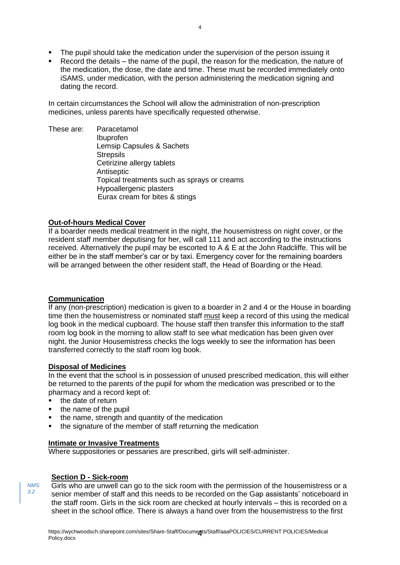- The pupil should take the medication under the supervision of the person issuing it
- Record the details the name of the pupil, the reason for the medication, the nature of the medication, the dose, the date and time. These must be recorded immediately onto iSAMS, under medication, with the person administering the medication signing and dating the record.

In certain circumstances the School will allow the administration of non-prescription medicines, unless parents have specifically requested otherwise.

These are: Paracetamol Ibuprofen Lemsip Capsules & Sachets **Strepsils** Cetirizine allergy tablets Antiseptic Topical treatments such as sprays or creams Hypoallergenic plasters Eurax cream for bites & stings

### **Out-of-hours Medical Cover**

If a boarder needs medical treatment in the night, the housemistress on night cover, or the resident staff member deputising for her, will call 111 and act according to the instructions received. Alternatively the pupil may be escorted to A & E at the John Radcliffe. This will be either be in the staff member's car or by taxi. Emergency cover for the remaining boarders will be arranged between the other resident staff, the Head of Boarding or the Head.

#### **Communication**

If any (non-prescription) medication is given to a boarder in 2 and 4 or the House in boarding time then the housemistress or nominated staff must keep a record of this using the medical log book in the medical cupboard. The house staff then transfer this information to the staff room log book in the morning to allow staff to see what medication has been given over night. the Junior Housemistress checks the logs weekly to see the information has been transferred correctly to the staff room log book.

#### **Disposal of Medicines**

In the event that the school is in possession of unused prescribed medication, this will either be returned to the parents of the pupil for whom the medication was prescribed or to the pharmacy and a record kept of:

- the date of return
- the name of the pupil
- the name, strength and quantity of the medication
- the signature of the member of staff returning the medication

#### **Intimate or Invasive Treatments**

Where suppositories or pessaries are prescribed, girls will self-administer.

#### **Section D - Sick-room**

*NMS 3.2*

Girls who are unwell can go to the sick room with the permission of the housemistress or a senior member of staff and this needs to be recorded on the Gap assistants' noticeboard in the staff room. Girls in the sick room are checked at hourly intervals – this is recorded on a sheet in the school office. There is always a hand over from the housemistress to the first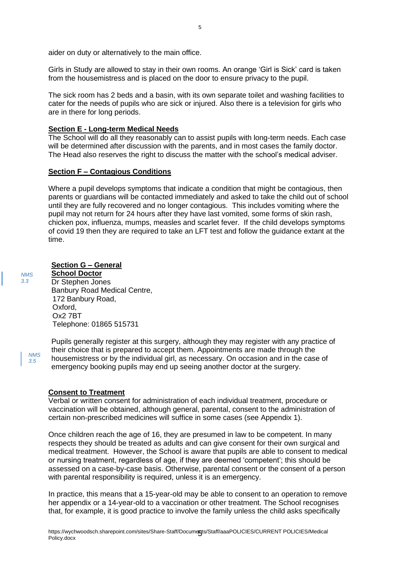aider on duty or alternatively to the main office.

Girls in Study are allowed to stay in their own rooms. An orange 'Girl is Sick' card is taken from the housemistress and is placed on the door to ensure privacy to the pupil.

The sick room has 2 beds and a basin, with its own separate toilet and washing facilities to cater for the needs of pupils who are sick or injured. Also there is a television for girls who are in there for long periods.

#### **Section E - Long-term Medical Needs**

The School will do all they reasonably can to assist pupils with long-term needs. Each case will be determined after discussion with the parents, and in most cases the family doctor. The Head also reserves the right to discuss the matter with the school's medical adviser.

#### **Section F – Contagious Conditions**

Where a pupil develops symptoms that indicate a condition that might be contagious, then parents or guardians will be contacted immediately and asked to take the child out of school until they are fully recovered and no longer contagious. This includes vomiting where the pupil may not return for 24 hours after they have last vomited, some forms of skin rash, chicken pox, influenza, mumps, measles and scarlet fever. If the child develops symptoms of covid 19 then they are required to take an LFT test and follow the guidance extant at the time.

#### **Section G – General**

**School Doctor** Dr Stephen Jones Banbury Road Medical Centre, 172 Banbury Road, Oxford, Ox2 7BT Telephone: 01865 515731

*NMS 3.5*

*NMS 3.3*

> Pupils generally register at this surgery, although they may register with any practice of their choice that is prepared to accept them. Appointments are made through the housemistress or by the individual girl, as necessary. On occasion and in the case of emergency booking pupils may end up seeing another doctor at the surgery.

#### **Consent to Treatment**

Verbal or written consent for administration of each individual treatment, procedure or vaccination will be obtained, although general, parental, consent to the administration of certain non-prescribed medicines will suffice in some cases (see Appendix 1).

Once children reach the age of 16, they are presumed in law to be competent. In many respects they should be treated as adults and can give consent for their own surgical and medical treatment. However, the School is aware that pupils are able to consent to medical or nursing treatment, regardless of age, if they are deemed 'competent'; this should be assessed on a case-by-case basis. Otherwise, parental consent or the consent of a person with parental responsibility is required, unless it is an emergency.

In practice, this means that a 15-year-old may be able to consent to an operation to remove her appendix or a 14-year-old to a vaccination or other treatment. The School recognises that, for example, it is good practice to involve the family unless the child asks specifically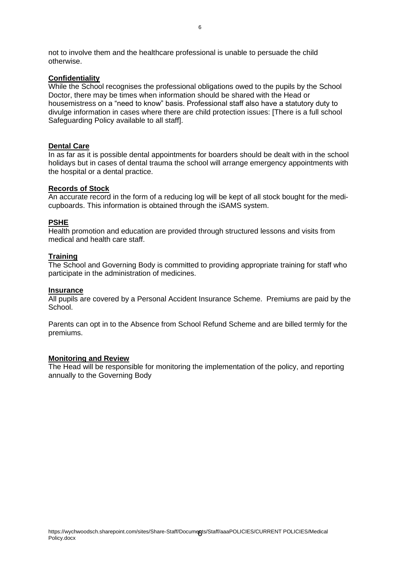not to involve them and the healthcare professional is unable to persuade the child otherwise.

#### **Confidentiality**

While the School recognises the professional obligations owed to the pupils by the School Doctor, there may be times when information should be shared with the Head or housemistress on a "need to know" basis. Professional staff also have a statutory duty to divulge information in cases where there are child protection issues: [There is a full school Safeguarding Policy available to all staff].

#### **Dental Care**

In as far as it is possible dental appointments for boarders should be dealt with in the school holidays but in cases of dental trauma the school will arrange emergency appointments with the hospital or a dental practice.

#### **Records of Stock**

An accurate record in the form of a reducing log will be kept of all stock bought for the medicupboards. This information is obtained through the iSAMS system.

#### **PSHE**

Health promotion and education are provided through structured lessons and visits from medical and health care staff.

#### **Training**

The School and Governing Body is committed to providing appropriate training for staff who participate in the administration of medicines.

#### **Insurance**

All pupils are covered by a Personal Accident Insurance Scheme. Premiums are paid by the School.

Parents can opt in to the Absence from School Refund Scheme and are billed termly for the premiums.

#### **Monitoring and Review**

The Head will be responsible for monitoring the implementation of the policy, and reporting annually to the Governing Body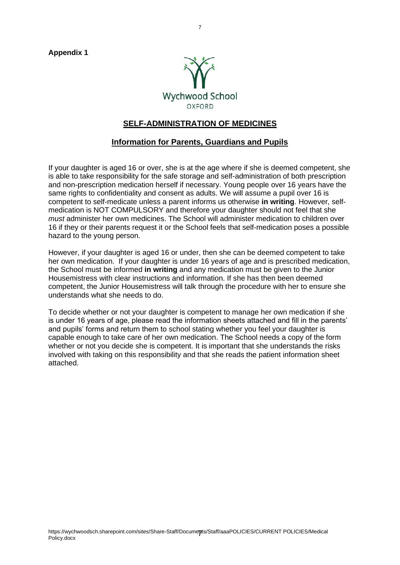**Appendix 1**



# **SELF-ADMINISTRATION OF MEDICINES**

### **Information for Parents, Guardians and Pupils**

If your daughter is aged 16 or over, she is at the age where if she is deemed competent, she is able to take responsibility for the safe storage and self-administration of both prescription and non-prescription medication herself if necessary. Young people over 16 years have the same rights to confidentiality and consent as adults. We will assume a pupil over 16 is competent to self-medicate unless a parent informs us otherwise **in writing**. However, selfmedication is NOT COMPULSORY and therefore your daughter should not feel that she *must* administer her own medicines. The School will administer medication to children over 16 if they or their parents request it or the School feels that self-medication poses a possible hazard to the young person.

However, if your daughter is aged 16 or under, then she can be deemed competent to take her own medication. If your daughter is under 16 years of age and is prescribed medication, the School must be informed **in writing** and any medication must be given to the Junior Housemistress with clear instructions and information. If she has then been deemed competent, the Junior Housemistress will talk through the procedure with her to ensure she understands what she needs to do.

To decide whether or not your daughter is competent to manage her own medication if she is under 16 years of age, please read the information sheets attached and fill in the parents' and pupils' forms and return them to school stating whether you feel your daughter is capable enough to take care of her own medication. The School needs a copy of the form whether or not you decide she is competent. It is important that she understands the risks involved with taking on this responsibility and that she reads the patient information sheet attached.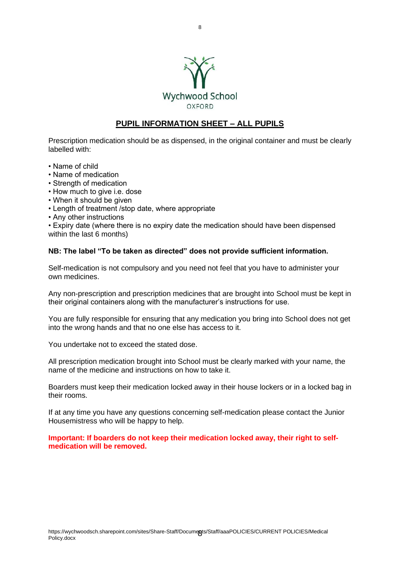

# **PUPIL INFORMATION SHEET – ALL PUPILS**

Prescription medication should be as dispensed, in the original container and must be clearly labelled with:

- Name of child
- Name of medication
- Strength of medication
- How much to give i.e. dose
- When it should be given
- Length of treatment /stop date, where appropriate
- Any other instructions

• Expiry date (where there is no expiry date the medication should have been dispensed within the last 6 months)

#### **NB: The label "To be taken as directed" does not provide sufficient information.**

Self-medication is not compulsory and you need not feel that you have to administer your own medicines.

Any non-prescription and prescription medicines that are brought into School must be kept in their original containers along with the manufacturer's instructions for use.

You are fully responsible for ensuring that any medication you bring into School does not get into the wrong hands and that no one else has access to it.

You undertake not to exceed the stated dose.

All prescription medication brought into School must be clearly marked with your name, the name of the medicine and instructions on how to take it.

Boarders must keep their medication locked away in their house lockers or in a locked bag in their rooms.

If at any time you have any questions concerning self-medication please contact the Junior Housemistress who will be happy to help.

**Important: If boarders do not keep their medication locked away, their right to selfmedication will be removed.**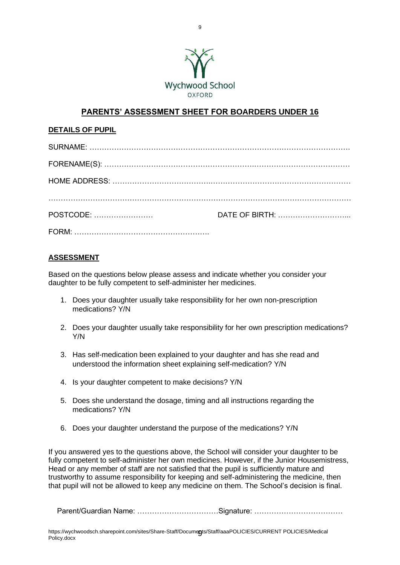

# **PARENTS' ASSESSMENT SHEET FOR BOARDERS UNDER 16**

#### **DETAILS OF PUPIL**

| DATE OF BIRTH: |
|----------------|
|                |

#### **ASSESSMENT**

Based on the questions below please assess and indicate whether you consider your daughter to be fully competent to self-administer her medicines.

- 1. Does your daughter usually take responsibility for her own non-prescription medications? Y/N
- 2. Does your daughter usually take responsibility for her own prescription medications? Y/N
- 3. Has self-medication been explained to your daughter and has she read and understood the information sheet explaining self-medication? Y/N
- 4. Is your daughter competent to make decisions? Y/N
- 5. Does she understand the dosage, timing and all instructions regarding the medications? Y/N
- 6. Does your daughter understand the purpose of the medications? Y/N

If you answered yes to the questions above, the School will consider your daughter to be fully competent to self-administer her own medicines. However, if the Junior Housemistress, Head or any member of staff are not satisfied that the pupil is sufficiently mature and trustworthy to assume responsibility for keeping and self-administering the medicine, then that pupil will not be allowed to keep any medicine on them. The School's decision is final.

Parent/Guardian Name: ……………………………………Signature: ………………………………………………………………………………………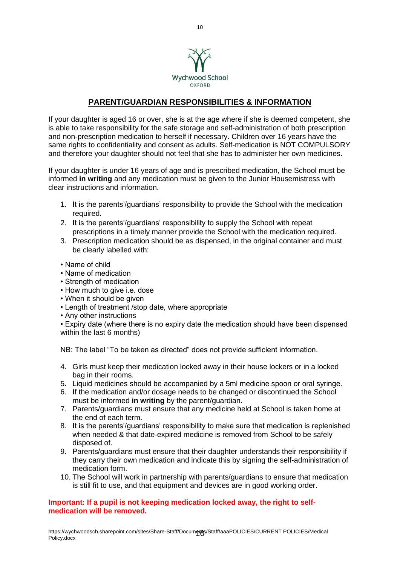

# **PARENT/GUARDIAN RESPONSIBILITIES & INFORMATION**

If your daughter is aged 16 or over, she is at the age where if she is deemed competent, she is able to take responsibility for the safe storage and self-administration of both prescription and non-prescription medication to herself if necessary. Children over 16 years have the same rights to confidentiality and consent as adults. Self-medication is NOT COMPULSORY and therefore your daughter should not feel that she has to administer her own medicines.

If your daughter is under 16 years of age and is prescribed medication, the School must be informed **in writing** and any medication must be given to the Junior Housemistress with clear instructions and information.

- 1. It is the parents'/guardians' responsibility to provide the School with the medication required.
- 2. It is the parents'/guardians' responsibility to supply the School with repeat prescriptions in a timely manner provide the School with the medication required.
- 3. Prescription medication should be as dispensed, in the original container and must be clearly labelled with:
- Name of child
- Name of medication
- Strength of medication
- How much to give i.e. dose
- When it should be given
- Length of treatment /stop date, where appropriate
- Any other instructions

• Expiry date (where there is no expiry date the medication should have been dispensed within the last 6 months)

NB: The label "To be taken as directed" does not provide sufficient information.

- 4. Girls must keep their medication locked away in their house lockers or in a locked bag in their rooms.
- 5. Liquid medicines should be accompanied by a 5ml medicine spoon or oral syringe.
- 6. If the medication and/or dosage needs to be changed or discontinued the School must be informed **in writing** by the parent/guardian.
- 7. Parents/guardians must ensure that any medicine held at School is taken home at the end of each term.
- 8. It is the parents'/guardians' responsibility to make sure that medication is replenished when needed & that date-expired medicine is removed from School to be safely disposed of.
- 9. Parents/guardians must ensure that their daughter understands their responsibility if they carry their own medication and indicate this by signing the self-administration of medication form.
- 10. The School will work in partnership with parents/guardians to ensure that medication is still fit to use, and that equipment and devices are in good working order.

#### **Important: If a pupil is not keeping medication locked away, the right to selfmedication will be removed.**